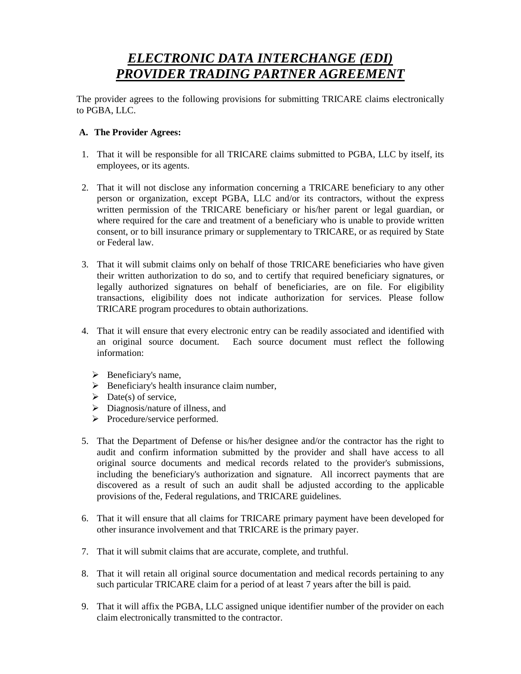# *ELECTRONIC DATA INTERCHANGE (EDI) PROVIDER TRADING PARTNER AGREEMENT*

The provider agrees to the following provisions for submitting TRICARE claims electronically to PGBA, LLC.

# **A. The Provider Agrees:**

- 1. That it will be responsible for all TRICARE claims submitted to PGBA, LLC by itself, its employees, or its agents.
- 2. That it will not disclose any information concerning a TRICARE beneficiary to any other person or organization, except PGBA, LLC and/or its contractors, without the express written permission of the TRICARE beneficiary or his/her parent or legal guardian, or where required for the care and treatment of a beneficiary who is unable to provide written consent, or to bill insurance primary or supplementary to TRICARE, or as required by State or Federal law.
- 3. That it will submit claims only on behalf of those TRICARE beneficiaries who have given their written authorization to do so, and to certify that required beneficiary signatures, or legally authorized signatures on behalf of beneficiaries, are on file. For eligibility transactions, eligibility does not indicate authorization for services. Please follow TRICARE program procedures to obtain authorizations.
- 4. That it will ensure that every electronic entry can be readily associated and identified with an original source document. Each source document must reflect the following information:
	- $\triangleright$  Beneficiary's name,
	- $\triangleright$  Beneficiary's health insurance claim number,
	- $\triangleright$  Date(s) of service,
	- $\triangleright$  Diagnosis/nature of illness, and
	- $\triangleright$  Procedure/service performed.
- 5. That the Department of Defense or his/her designee and/or the contractor has the right to audit and confirm information submitted by the provider and shall have access to all original source documents and medical records related to the provider's submissions, including the beneficiary's authorization and signature. All incorrect payments that are discovered as a result of such an audit shall be adjusted according to the applicable provisions of the, Federal regulations, and TRICARE guidelines.
- 6. That it will ensure that all claims for TRICARE primary payment have been developed for other insurance involvement and that TRICARE is the primary payer.
- 7. That it will submit claims that are accurate, complete, and truthful.
- 8. That it will retain all original source documentation and medical records pertaining to any such particular TRICARE claim for a period of at least 7 years after the bill is paid.
- 9. That it will affix the PGBA, LLC assigned unique identifier number of the provider on each claim electronically transmitted to the contractor.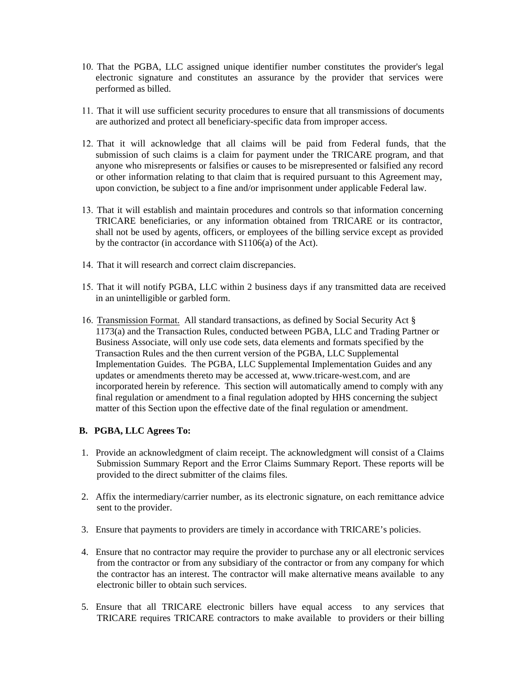- 10. That the PGBA, LLC assigned unique identifier number constitutes the provider's legal electronic signature and constitutes an assurance by the provider that services were performed as billed.
- 11. That it will use sufficient security procedures to ensure that all transmissions of documents are authorized and protect all beneficiary-specific data from improper access.
- 12. That it will acknowledge that all claims will be paid from Federal funds, that the submission of such claims is a claim for payment under the TRICARE program, and that anyone who misrepresents or falsifies or causes to be misrepresented or falsified any record or other information relating to that claim that is required pursuant to this Agreement may, upon conviction, be subject to a fine and/or imprisonment under applicable Federal law.
- 13. That it will establish and maintain procedures and controls so that information concerning TRICARE beneficiaries, or any information obtained from TRICARE or its contractor, shall not be used by agents, officers, or employees of the billing service except as provided by the contractor (in accordance with S1106(a) of the Act).
- 14. That it will research and correct claim discrepancies.
- 15. That it will notify PGBA, LLC within 2 business days if any transmitted data are received in an unintelligible or garbled form.
- 16. Transmission Format. All standard transactions, as defined by Social Security Act § 1173(a) and the Transaction Rules, conducted between PGBA, LLC and Trading Partner or Business Associate, will only use code sets, data elements and formats specified by the Transaction Rules and the then current version of the PGBA, LLC Supplemental Implementation Guides. The PGBA, LLC Supplemental Implementation Guides and any updates or amendments thereto may be accessed at, www.tricare-west.com, and are incorporated herein by reference. This section will automatically amend to comply with any final regulation or amendment to a final regulation adopted by HHS concerning the subject matter of this Section upon the effective date of the final regulation or amendment.

# **B. PGBA, LLC Agrees To:**

- 1. Provide an acknowledgment of claim receipt. The acknowledgment will consist of a Claims Submission Summary Report and the Error Claims Summary Report. These reports will be provided to the direct submitter of the claims files.
- 2. Affix the intermediary/carrier number, as its electronic signature, on each remittance advice sent to the provider.
- 3. Ensure that payments to providers are timely in accordance with TRICARE's policies.
- 4. Ensure that no contractor may require the provider to purchase any or all electronic services from the contractor or from any subsidiary of the contractor or from any company for which the contractor has an interest. The contractor will make alternative means available to any electronic biller to obtain such services.
- 5. Ensure that all TRICARE electronic billers have equal access to any services that TRICARE requires TRICARE contractors to make available to providers or their billing